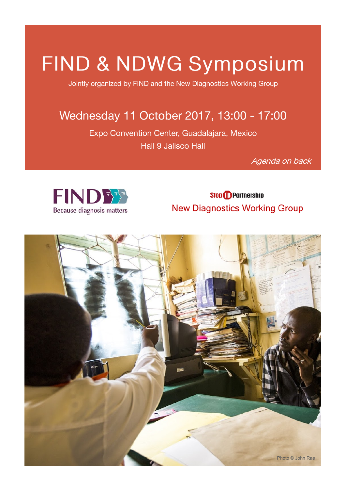# FIND & NDWG Symposium

Jointly organized by FIND and the New Diagnostics Working Group

## Wednesday 11 October 2017, 13:00 - 17:00

Expo Convention Center, Guadalajara, Mexico Hall 9 Jalisco Hall

Agenda on back



**Stop <sup>1</sup>D** Partnership **New Diagnostics Working Group**